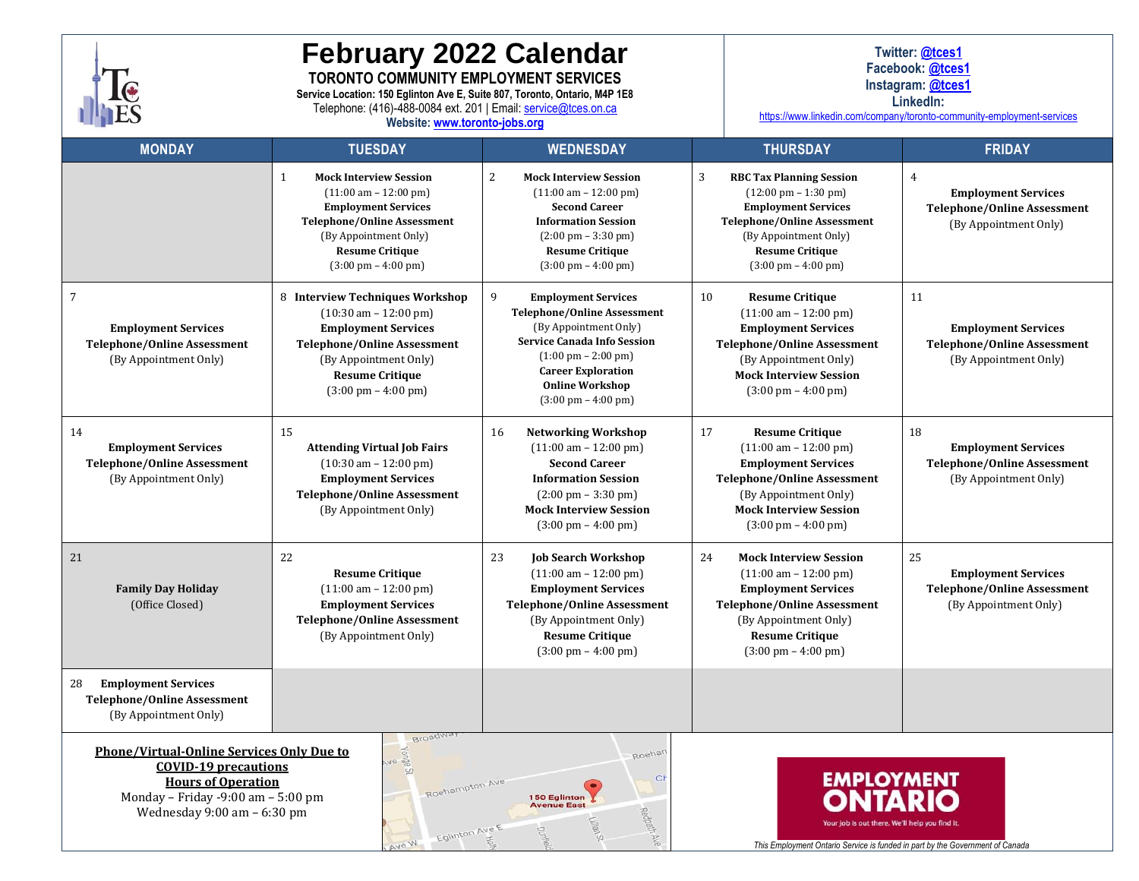

# **February 2022 Calendar TORONTO COMMUNITY EMPLOYMENT SERVICES**

**Service Location: 150 Eglinton Ave E, Suite 807, Toronto, Ontario, M4P 1E8**

Telephone: (416)-488-0084 ext. 201 | Email[: service@tces.on.ca](mailto:service@tces.on.ca)

**Website[: www.toronto-jobs.org](http://www.toronto-jobs.org/)**

**Twitter: [@tces1](https://twitter.com/tces1) Facebook[: @tces1](https://www.facebook.com/tces1/)**

**Instagram: [@tces1](http://www.instagram.com/tces1)**

**LinkedIn:**

<https://www.linkedin.com/company/toronto-community-employment-services>

| <b>MONDAY</b>                                                                                                                                                                                                                                                                                                                                                                                                                                                                          | <b>TUESDAY</b>                                                                                                                                                                                                                                           | <b>WEDNESDAY</b>                                                                                                                                                                                                                                                              | <b>THURSDAY</b>                                                                                                                                                                                                                                | <b>FRIDAY</b>                                                                                               |
|----------------------------------------------------------------------------------------------------------------------------------------------------------------------------------------------------------------------------------------------------------------------------------------------------------------------------------------------------------------------------------------------------------------------------------------------------------------------------------------|----------------------------------------------------------------------------------------------------------------------------------------------------------------------------------------------------------------------------------------------------------|-------------------------------------------------------------------------------------------------------------------------------------------------------------------------------------------------------------------------------------------------------------------------------|------------------------------------------------------------------------------------------------------------------------------------------------------------------------------------------------------------------------------------------------|-------------------------------------------------------------------------------------------------------------|
|                                                                                                                                                                                                                                                                                                                                                                                                                                                                                        | $\mathbf{1}$<br><b>Mock Interview Session</b><br>$(11:00 \text{ am} - 12:00 \text{ pm})$<br><b>Employment Services</b><br><b>Telephone/Online Assessment</b><br>(By Appointment Only)<br><b>Resume Critique</b><br>$(3:00 \text{ pm} - 4:00 \text{ pm})$ | 2<br><b>Mock Interview Session</b><br>$(11:00 \text{ am} - 12:00 \text{ pm})$<br><b>Second Career</b><br><b>Information Session</b><br>$(2:00 \text{ pm} - 3:30 \text{ pm})$<br><b>Resume Critique</b><br>$(3:00 \text{ pm} - 4:00 \text{ pm})$                               | 3<br><b>RBC Tax Planning Session</b><br>$(12:00 \text{ pm} - 1:30 \text{ pm})$<br><b>Employment Services</b><br><b>Telephone/Online Assessment</b><br>(By Appointment Only)<br><b>Resume Critique</b><br>$(3:00 \text{ pm} - 4:00 \text{ pm})$ | $\overline{4}$<br><b>Employment Services</b><br><b>Telephone/Online Assessment</b><br>(By Appointment Only) |
| $\overline{7}$<br><b>Employment Services</b><br><b>Telephone/Online Assessment</b><br>(By Appointment Only)                                                                                                                                                                                                                                                                                                                                                                            | 8 Interview Techniques Workshop<br>$(10:30 \text{ am} - 12:00 \text{ pm})$<br><b>Employment Services</b><br><b>Telephone/Online Assessment</b><br>(By Appointment Only)<br><b>Resume Critique</b><br>$(3:00 \text{ pm} - 4:00 \text{ pm})$               | 9<br><b>Employment Services</b><br><b>Telephone/Online Assessment</b><br>(By Appointment Only)<br><b>Service Canada Info Session</b><br>$(1:00 \text{ pm} - 2:00 \text{ pm})$<br><b>Career Exploration</b><br><b>Online Workshop</b><br>$(3:00 \text{ pm} - 4:00 \text{ pm})$ | 10<br><b>Resume Critique</b><br>$(11:00 \text{ am} - 12:00 \text{ pm})$<br><b>Employment Services</b><br><b>Telephone/Online Assessment</b><br>(By Appointment Only)<br><b>Mock Interview Session</b><br>$(3:00 \text{ pm} - 4:00 \text{ pm})$ | 11<br><b>Employment Services</b><br><b>Telephone/Online Assessment</b><br>(By Appointment Only)             |
| 14<br><b>Employment Services</b><br><b>Telephone/Online Assessment</b><br>(By Appointment Only)                                                                                                                                                                                                                                                                                                                                                                                        | 15<br><b>Attending Virtual Job Fairs</b><br>$(10:30 \text{ am} - 12:00 \text{ pm})$<br><b>Employment Services</b><br><b>Telephone/Online Assessment</b><br>(By Appointment Only)                                                                         | 16<br><b>Networking Workshop</b><br>$(11:00 \text{ am} - 12:00 \text{ pm})$<br><b>Second Career</b><br><b>Information Session</b><br>$(2:00 \text{ pm} - 3:30 \text{ pm})$<br><b>Mock Interview Session</b><br>$(3:00 \text{ pm} - 4:00 \text{ pm})$                          | 17<br><b>Resume Critique</b><br>$(11:00 \text{ am} - 12:00 \text{ pm})$<br><b>Employment Services</b><br><b>Telephone/Online Assessment</b><br>(By Appointment Only)<br><b>Mock Interview Session</b><br>$(3:00 \text{ pm} - 4:00 \text{ pm})$ | 18<br><b>Employment Services</b><br><b>Telephone/Online Assessment</b><br>(By Appointment Only)             |
| 21<br><b>Family Day Holiday</b><br>(Office Closed)                                                                                                                                                                                                                                                                                                                                                                                                                                     | 22<br><b>Resume Critique</b><br>$(11:00 \text{ am} - 12:00 \text{ pm})$<br><b>Employment Services</b><br><b>Telephone/Online Assessment</b><br>(By Appointment Only)                                                                                     | 23<br><b>Job Search Workshop</b><br>$(11:00 \text{ am} - 12:00 \text{ pm})$<br><b>Employment Services</b><br><b>Telephone/Online Assessment</b><br>(By Appointment Only)<br><b>Resume Critique</b><br>$(3:00 \text{ pm} - 4:00 \text{ pm})$                                   | 24<br><b>Mock Interview Session</b><br>$(11:00 \text{ am} - 12:00 \text{ pm})$<br><b>Employment Services</b><br><b>Telephone/Online Assessment</b><br>(By Appointment Only)<br><b>Resume Critique</b><br>$(3:00 \text{ pm} - 4:00 \text{ pm})$ | 25<br><b>Employment Services</b><br><b>Telephone/Online Assessment</b><br>(By Appointment Only)             |
| <b>Employment Services</b><br>28<br><b>Telephone/Online Assessment</b><br>(By Appointment Only)                                                                                                                                                                                                                                                                                                                                                                                        |                                                                                                                                                                                                                                                          |                                                                                                                                                                                                                                                                               |                                                                                                                                                                                                                                                |                                                                                                             |
| Broadwa<br><b>Phone/Virtual-Online Services Only Due to</b><br>$ke$ abuo $\lambda$<br>Roehar<br><b>COVID-19 precautions</b><br>Ch<br><b>EMPLOYMENT</b><br><b>Hours of Operation</b><br>Roehampton Ave<br>Monday - Friday -9:00 am - 5:00 pm<br>150 Eglinton<br><b>Avenue East</b><br>Wednesday 9:00 am - 6:30 pm<br>Redpath Ave<br>ob is out there. We'll help you find it<br>Eglinton Ave t<br>Ave W<br>This Employment Ontario Service is funded in part by the Government of Canada |                                                                                                                                                                                                                                                          |                                                                                                                                                                                                                                                                               |                                                                                                                                                                                                                                                |                                                                                                             |